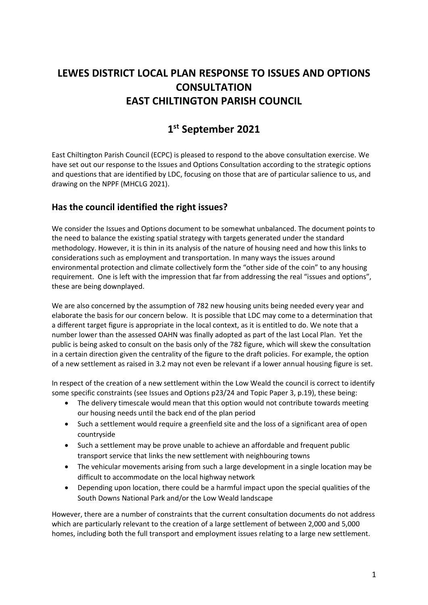# **LEWES DISTRICT LOCAL PLAN RESPONSE TO ISSUES AND OPTIONS CONSULTATION EAST CHILTINGTON PARISH COUNCIL**

# **1 st September 2021**

East Chiltington Parish Council (ECPC) is pleased to respond to the above consultation exercise. We have set out our response to the Issues and Options Consultation according to the strategic options and questions that are identified by LDC, focusing on those that are of particular salience to us, and drawing on the NPPF (MHCLG 2021).

## **Has the council identified the right issues?**

We consider the Issues and Options document to be somewhat unbalanced. The document points to the need to balance the existing spatial strategy with targets generated under the standard methodology. However, it is thin in its analysis of the nature of housing need and how this links to considerations such as employment and transportation. In many ways the issues around environmental protection and climate collectively form the "other side of the coin" to any housing requirement. One is left with the impression that far from addressing the real "issues and options", these are being downplayed.

We are also concerned by the assumption of 782 new housing units being needed every year and elaborate the basis for our concern below. It is possible that LDC may come to a determination that a different target figure is appropriate in the local context, as it is entitled to do. We note that a number lower than the assessed OAHN was finally adopted as part of the last Local Plan. Yet the public is being asked to consult on the basis only of the 782 figure, which will skew the consultation in a certain direction given the centrality of the figure to the draft policies. For example, the option of a new settlement as raised in 3.2 may not even be relevant if a lower annual housing figure is set.

In respect of the creation of a new settlement within the Low Weald the council is correct to identify some specific constraints (see Issues and Options p23/24 and Topic Paper 3, p.19), these being:

- The delivery timescale would mean that this option would not contribute towards meeting our housing needs until the back end of the plan period
- Such a settlement would require a greenfield site and the loss of a significant area of open countryside
- Such a settlement may be prove unable to achieve an affordable and frequent public transport service that links the new settlement with neighbouring towns
- The vehicular movements arising from such a large development in a single location may be difficult to accommodate on the local highway network
- Depending upon location, there could be a harmful impact upon the special qualities of the South Downs National Park and/or the Low Weald landscape

However, there are a number of constraints that the current consultation documents do not address which are particularly relevant to the creation of a large settlement of between 2,000 and 5,000 homes, including both the full transport and employment issues relating to a large new settlement.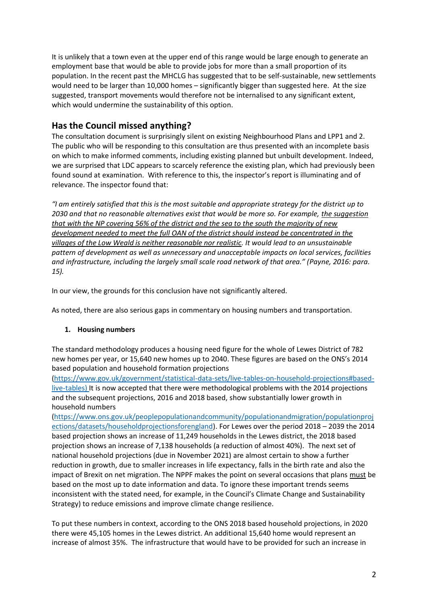It is unlikely that a town even at the upper end of this range would be large enough to generate an employment base that would be able to provide jobs for more than a small proportion of its population. In the recent past the MHCLG has suggested that to be self-sustainable, new settlements would need to be larger than 10,000 homes – significantly bigger than suggested here. At the size suggested, transport movements would therefore not be internalised to any significant extent, which would undermine the sustainability of this option.

# **Has the Council missed anything?**

The consultation document is surprisingly silent on existing Neighbourhood Plans and LPP1 and 2. The public who will be responding to this consultation are thus presented with an incomplete basis on which to make informed comments, including existing planned but unbuilt development. Indeed, we are surprised that LDC appears to scarcely reference the existing plan, which had previously been found sound at examination. With reference to this, the inspector's report is illuminating and of relevance. The inspector found that:

*"I am entirely satisfied that this is the most suitable and appropriate strategy for the district up to 2030 and that no reasonable alternatives exist that would be more so. For example, the suggestion that with the NP covering 56% of the district and the sea to the south the majority of new development needed to meet the full OAN of the district should instead be concentrated in the villages of the Low Weald is neither reasonable nor realistic. It would lead to an unsustainable pattern of development as well as unnecessary and unacceptable impacts on local services, facilities and infrastructure, including the largely small scale road network of that area." (Payne, 2016: para. 15).*

In our view, the grounds for this conclusion have not significantly altered.

As noted, there are also serious gaps in commentary on housing numbers and transportation.

#### **1. Housing numbers**

The standard methodology produces a housing need figure for the whole of Lewes District of 782 new homes per year, or 15,640 new homes up to 2040. These figures are based on the ONS's 2014 based population and household formation projections

[\(https://www.gov.uk/government/statistical-data-sets/live-tables-on-household-projections#based](https://www.gov.uk/government/statistical-data-sets/live-tables-on-household-projections#based-live-tables)[live-tables\)](https://www.gov.uk/government/statistical-data-sets/live-tables-on-household-projections#based-live-tables) It is now accepted that there were methodological problems with the 2014 projections and the subsequent projections, 2016 and 2018 based, show substantially lower growth in household numbers

[\(https://www.ons.gov.uk/peoplepopulationandcommunity/populationandmigration/populationproj](https://www.ons.gov.uk/peoplepopulationandcommunity/populationandmigration/populationprojections/datasets/householdprojectionsforengland) [ections/datasets/householdprojectionsforengland\)](https://www.ons.gov.uk/peoplepopulationandcommunity/populationandmigration/populationprojections/datasets/householdprojectionsforengland). For Lewes over the period 2018 – 2039 the 2014 based projection shows an increase of 11,249 households in the Lewes district, the 2018 based projection shows an increase of 7,138 households (a reduction of almost 40%). The next set of national household projections (due in November 2021) are almost certain to show a further reduction in growth, due to smaller increases in life expectancy, falls in the birth rate and also the impact of Brexit on net migration. The NPPF makes the point on several occasions that plans must be based on the most up to date information and data. To ignore these important trends seems inconsistent with the stated need, for example, in the Council's Climate Change and Sustainability Strategy) to reduce emissions and improve climate change resilience.

To put these numbers in context, according to the ONS 2018 based household projections, in 2020 there were 45,105 homes in the Lewes district. An additional 15,640 home would represent an increase of almost 35%. The infrastructure that would have to be provided for such an increase in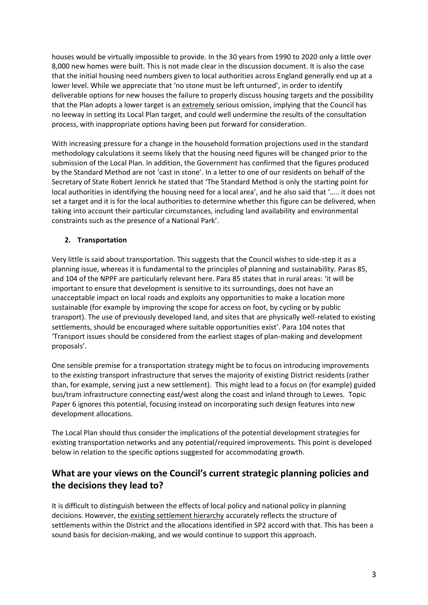houses would be virtually impossible to provide. In the 30 years from 1990 to 2020 only a little over 8,000 new homes were built. This is not made clear in the discussion document. It is also the case that the initial housing need numbers given to local authorities across England generally end up at a lower level. While we appreciate that 'no stone must be left unturned', in order to identify deliverable options for new houses the failure to properly discuss housing targets and the possibility that the Plan adopts a lower target is an extremely serious omission, implying that the Council has no leeway in setting its Local Plan target, and could well undermine the results of the consultation process, with inappropriate options having been put forward for consideration.

With increasing pressure for a change in the household formation projections used in the standard methodology calculations it seems likely that the housing need figures will be changed prior to the submission of the Local Plan. In addition, the Government has confirmed that the figures produced by the Standard Method are not 'cast in stone'. In a letter to one of our residents on behalf of the Secretary of State Robert Jenrick he stated that 'The Standard Method is only the starting point for local authorities in identifying the housing need for a local area', and he also said that '….. it does not set a target and it is for the local authorities to determine whether this figure can be delivered, when taking into account their particular circumstances, including land availability and environmental constraints such as the presence of a National Park'.

#### **2. Transportation**

Very little is said about transportation. This suggests that the Council wishes to side-step it as a planning issue, whereas it is fundamental to the principles of planning and sustainability. Paras 85, and 104 of the NPPF are particularly relevant here. Para 85 states that in rural areas: 'it will be important to ensure that development is sensitive to its surroundings, does not have an unacceptable impact on local roads and exploits any opportunities to make a location more sustainable (for example by improving the scope for access on foot, by cycling or by public transport). The use of previously developed land, and sites that are physically well-related to existing settlements, should be encouraged where suitable opportunities exist'. Para 104 notes that 'Transport issues should be considered from the earliest stages of plan-making and development proposals'.

One sensible premise for a transportation strategy might be to focus on introducing improvements to the *existing* transport infrastructure that serves the majority of existing District residents (rather than, for example, serving just a new settlement). This might lead to a focus on (for example) guided bus/tram infrastructure connecting east/west along the coast and inland through to Lewes. Topic Paper 6 ignores this potential, focusing instead on incorporating such design features into new development allocations.

The Local Plan should thus consider the implications of the potential development strategies for existing transportation networks and any potential/required improvements. This point is developed below in relation to the specific options suggested for accommodating growth.

# **What are your views on the Council's current strategic planning policies and the decisions they lead to?**

It is difficult to distinguish between the effects of local policy and national policy in planning decisions. However, the existing settlement hierarchy accurately reflects the structure of settlements within the District and the allocations identified in SP2 accord with that. This has been a sound basis for decision-making, and we would continue to support this approach.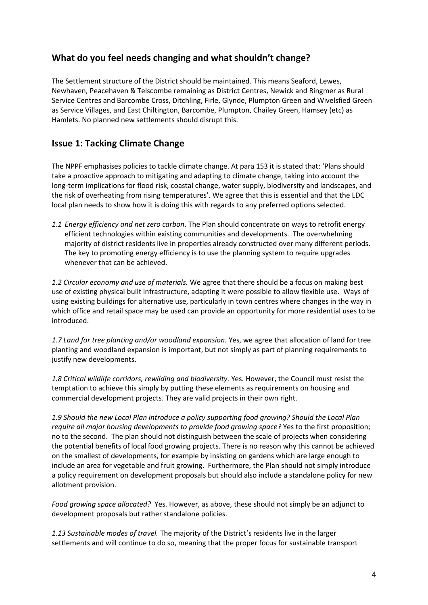### **What do you feel needs changing and what shouldn't change?**

The Settlement structure of the District should be maintained. This means Seaford, Lewes, Newhaven, Peacehaven & Telscombe remaining as District Centres, Newick and Ringmer as Rural Service Centres and Barcombe Cross, Ditchling, Firle, Glynde, Plumpton Green and Wivelsfied Green as Service Villages, and East Chiltington, Barcombe, Plumpton, Chailey Green, Hamsey (etc) as Hamlets. No planned new settlements should disrupt this.

#### **Issue 1: Tacking Climate Change**

The NPPF emphasises policies to tackle climate change. At para 153 it is stated that: 'Plans should take a proactive approach to mitigating and adapting to climate change, taking into account the long-term implications for flood risk, coastal change, water supply, biodiversity and landscapes, and the risk of overheating from rising temperatures'. We agree that this is essential and that the LDC local plan needs to show how it is doing this with regards to any preferred options selected.

*1.1 Energy efficiency and net zero carbon*. The Plan should concentrate on ways to retrofit energy efficient technologies within existing communities and developments. The overwhelming majority of district residents live in properties already constructed over many different periods. The key to promoting energy efficiency is to use the planning system to require upgrades whenever that can be achieved.

*1.2 Circular economy and use of materials.* We agree that there should be a focus on making best use of existing physical built infrastructure, adapting it were possible to allow flexible use. Ways of using existing buildings for alternative use, particularly in town centres where changes in the way in which office and retail space may be used can provide an opportunity for more residential uses to be introduced.

*1.7 Land for tree planting and/or woodland expansion.* Yes, we agree that allocation of land for tree planting and woodland expansion is important, but not simply as part of planning requirements to justify new developments.

*1.8 Critical wildlife corridors, rewilding and biodiversity.* Yes. However, the Council must resist the temptation to achieve this simply by putting these elements as requirements on housing and commercial development projects. They are valid projects in their own right.

*1.9 Should the new Local Plan introduce a policy supporting food growing? Should the Local Plan require all major housing developments to provide food growing space?* Yes to the first proposition; no to the second. The plan should not distinguish between the scale of projects when considering the potential benefits of local food growing projects. There is no reason why this cannot be achieved on the smallest of developments, for example by insisting on gardens which are large enough to include an area for vegetable and fruit growing. Furthermore, the Plan should not simply introduce a policy requirement on development proposals but should also include a standalone policy for new allotment provision.

*Food growing space allocated?* Yes. However, as above, these should not simply be an adjunct to development proposals but rather standalone policies.

*1.13 Sustainable modes of travel.* The majority of the District's residents live in the larger settlements and will continue to do so, meaning that the proper focus for sustainable transport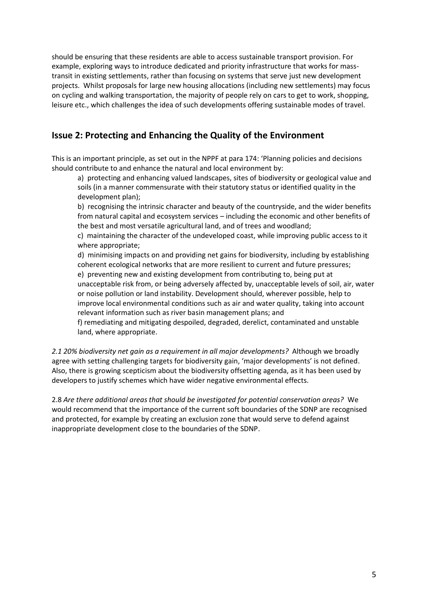should be ensuring that these residents are able to access sustainable transport provision. For example, exploring ways to introduce dedicated and priority infrastructure that works for masstransit in existing settlements, rather than focusing on systems that serve just new development projects. Whilst proposals for large new housing allocations (including new settlements) may focus on cycling and walking transportation, the majority of people rely on cars to get to work, shopping, leisure etc., which challenges the idea of such developments offering sustainable modes of travel.

# **Issue 2: Protecting and Enhancing the Quality of the Environment**

This is an important principle, as set out in the NPPF at para 174: 'Planning policies and decisions should contribute to and enhance the natural and local environment by:

a) protecting and enhancing valued landscapes, sites of biodiversity or geological value and soils (in a manner commensurate with their statutory status or identified quality in the development plan);

b) recognising the intrinsic character and beauty of the countryside, and the wider benefits from natural capital and ecosystem services – including the economic and other benefits of the best and most versatile agricultural land, and of trees and woodland;

c) maintaining the character of the undeveloped coast, while improving public access to it where appropriate;

d) minimising impacts on and providing net gains for biodiversity, including by establishing coherent ecological networks that are more resilient to current and future pressures; e) preventing new and existing development from contributing to, being put at

unacceptable risk from, or being adversely affected by, unacceptable levels of soil, air, water or noise pollution or land instability. Development should, wherever possible, help to improve local environmental conditions such as air and water quality, taking into account relevant information such as river basin management plans; and

f) remediating and mitigating despoiled, degraded, derelict, contaminated and unstable land, where appropriate.

*2.1 20% biodiversity net gain as a requirement in all major developments?* Although we broadly agree with setting challenging targets for biodiversity gain, 'major developments' is not defined. Also, there is growing scepticism about the biodiversity offsetting agenda, as it has been used by developers to justify schemes which have wider negative environmental effects.

2.8 *Are there additional areas that should be investigated for potential conservation areas?* We would recommend that the importance of the current soft boundaries of the SDNP are recognised and protected, for example by creating an exclusion zone that would serve to defend against inappropriate development close to the boundaries of the SDNP.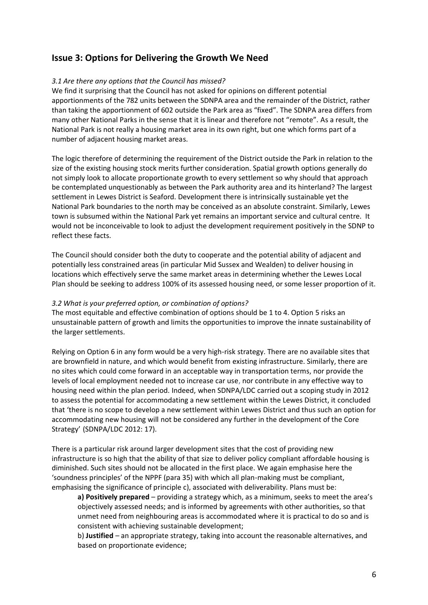#### **Issue 3: Options for Delivering the Growth We Need**

#### *3.1 Are there any options that the Council has missed?*

We find it surprising that the Council has not asked for opinions on different potential apportionments of the 782 units between the SDNPA area and the remainder of the District, rather than taking the apportionment of 602 outside the Park area as "fixed". The SDNPA area differs from many other National Parks in the sense that it is linear and therefore not "remote". As a result, the National Park is not really a housing market area in its own right, but one which forms part of a number of adjacent housing market areas.

The logic therefore of determining the requirement of the District outside the Park in relation to the size of the existing housing stock merits further consideration. Spatial growth options generally do not simply look to allocate proportionate growth to every settlement so why should that approach be contemplated unquestionably as between the Park authority area and its hinterland? The largest settlement in Lewes District is Seaford. Development there is intrinsically sustainable yet the National Park boundaries to the north may be conceived as an absolute constraint. Similarly, Lewes town is subsumed within the National Park yet remains an important service and cultural centre. It would not be inconceivable to look to adjust the development requirement positively in the SDNP to reflect these facts.

The Council should consider both the duty to cooperate and the potential ability of adjacent and potentially less constrained areas (in particular Mid Sussex and Wealden) to deliver housing in locations which effectively serve the same market areas in determining whether the Lewes Local Plan should be seeking to address 100% of its assessed housing need, or some lesser proportion of it.

#### *3.2 What is your preferred option, or combination of options?*

The most equitable and effective combination of options should be 1 to 4. Option 5 risks an unsustainable pattern of growth and limits the opportunities to improve the innate sustainability of the larger settlements.

Relying on Option 6 in any form would be a very high-risk strategy. There are no available sites that are brownfield in nature, and which would benefit from existing infrastructure. Similarly, there are no sites which could come forward in an acceptable way in transportation terms, nor provide the levels of local employment needed not to increase car use, nor contribute in any effective way to housing need within the plan period. Indeed, when SDNPA/LDC carried out a scoping study in 2012 to assess the potential for accommodating a new settlement within the Lewes District, it concluded that 'there is no scope to develop a new settlement within Lewes District and thus such an option for accommodating new housing will not be considered any further in the development of the Core Strategy' (SDNPA/LDC 2012: 17).

There is a particular risk around larger development sites that the cost of providing new infrastructure is so high that the ability of that size to deliver policy compliant affordable housing is diminished. Such sites should not be allocated in the first place. We again emphasise here the 'soundness principles' of the NPPF (para 35) with which all plan-making must be compliant, emphasising the significance of principle c), associated with deliverability. Plans must be:

a) Positively prepared - providing a strategy which, as a minimum, seeks to meet the area's objectively assessed needs; and is informed by agreements with other authorities, so that unmet need from neighbouring areas is accommodated where it is practical to do so and is consistent with achieving sustainable development;

b) **Justified** – an appropriate strategy, taking into account the reasonable alternatives, and based on proportionate evidence;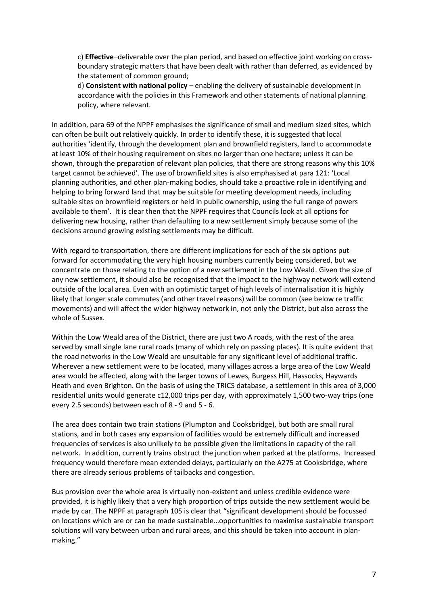c) **Effective**–deliverable over the plan period, and based on effective joint working on crossboundary strategic matters that have been dealt with rather than deferred, as evidenced by the statement of common ground;

d) **Consistent with national policy** – enabling the delivery of sustainable development in accordance with the policies in this Framework and other statements of national planning policy, where relevant.

In addition, para 69 of the NPPF emphasises the significance of small and medium sized sites, which can often be built out relatively quickly. In order to identify these, it is suggested that local authorities 'identify, through the development plan and brownfield registers, land to accommodate at least 10% of their housing requirement on sites no larger than one hectare; unless it can be shown, through the preparation of relevant plan policies, that there are strong reasons why this 10% target cannot be achieved'. The use of brownfield sites is also emphasised at para 121: 'Local planning authorities, and other plan-making bodies, should take a proactive role in identifying and helping to bring forward land that may be suitable for meeting development needs, including suitable sites on brownfield registers or held in public ownership, using the full range of powers available to them'. It is clear then that the NPPF requires that Councils look at all options for delivering new housing, rather than defaulting to a new settlement simply because some of the decisions around growing existing settlements may be difficult.

With regard to transportation, there are different implications for each of the six options put forward for accommodating the very high housing numbers currently being considered, but we concentrate on those relating to the option of a new settlement in the Low Weald. Given the size of any new settlement, it should also be recognised that the impact to the highway network will extend outside of the local area. Even with an optimistic target of high levels of internalisation it is highly likely that longer scale commutes (and other travel reasons) will be common (see below re traffic movements) and will affect the wider highway network in, not only the District, but also across the whole of Sussex.

Within the Low Weald area of the District, there are just two A roads, with the rest of the area served by small single lane rural roads (many of which rely on passing places). It is quite evident that the road networks in the Low Weald are unsuitable for any significant level of additional traffic. Wherever a new settlement were to be located, many villages across a large area of the Low Weald area would be affected, along with the larger towns of Lewes, Burgess Hill, Hassocks, Haywards Heath and even Brighton. On the basis of using the TRICS database, a settlement in this area of 3,000 residential units would generate c12,000 trips per day, with approximately 1,500 two-way trips (one every 2.5 seconds) between each of 8 - 9 and 5 - 6.

The area does contain two train stations (Plumpton and Cooksbridge), but both are small rural stations, and in both cases any expansion of facilities would be extremely difficult and increased frequencies of services is also unlikely to be possible given the limitations in capacity of the rail network. In addition, currently trains obstruct the junction when parked at the platforms. Increased frequency would therefore mean extended delays, particularly on the A275 at Cooksbridge, where there are already serious problems of tailbacks and congestion.

Bus provision over the whole area is virtually non-existent and unless credible evidence were provided, it is highly likely that a very high proportion of trips outside the new settlement would be made by car. The NPPF at paragraph 105 is clear that "significant development should be focussed on locations which are or can be made sustainable…opportunities to maximise sustainable transport solutions will vary between urban and rural areas, and this should be taken into account in planmaking."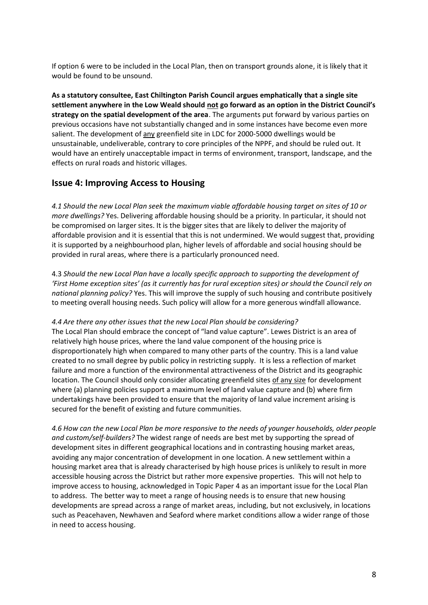If option 6 were to be included in the Local Plan, then on transport grounds alone, it is likely that it would be found to be unsound.

**As a statutory consultee, East Chiltington Parish Council argues emphatically that a single site settlement anywhere in the Low Weald should not go forward as an option in the District Council's strategy on the spatial development of the area**. The arguments put forward by various parties on previous occasions have not substantially changed and in some instances have become even more salient. The development of any greenfield site in LDC for 2000-5000 dwellings would be unsustainable, undeliverable, contrary to core principles of the NPPF, and should be ruled out. It would have an entirely unacceptable impact in terms of environment, transport, landscape, and the effects on rural roads and historic villages.

#### **Issue 4: Improving Access to Housing**

*4.1 Should the new Local Plan seek the maximum viable affordable housing target on sites of 10 or more dwellings?* Yes. Delivering affordable housing should be a priority. In particular, it should not be compromised on larger sites. It is the bigger sites that are likely to deliver the majority of affordable provision and it is essential that this is not undermined. We would suggest that, providing it is supported by a neighbourhood plan, higher levels of affordable and social housing should be provided in rural areas, where there is a particularly pronounced need.

4.3 *Should the new Local Plan have a locally specific approach to supporting the development of 'First Home exception sites' (as it currently has for rural exception sites) or should the Council rely on national planning policy?* Yes. This will improve the supply of such housing and contribute positively to meeting overall housing needs. Such policy will allow for a more generous windfall allowance.

#### *4.4 Are there any other issues that the new Local Plan should be considering?*

The Local Plan should embrace the concept of "land value capture". Lewes District is an area of relatively high house prices, where the land value component of the housing price is disproportionately high when compared to many other parts of the country. This is a land value created to no small degree by public policy in restricting supply. It is less a reflection of market failure and more a function of the environmental attractiveness of the District and its geographic location. The Council should only consider allocating greenfield sites of any size for development where (a) planning policies support a maximum level of land value capture and (b) where firm undertakings have been provided to ensure that the majority of land value increment arising is secured for the benefit of existing and future communities.

*4.6 How can the new Local Plan be more responsive to the needs of younger households, older people and custom/self-builders?* The widest range of needs are best met by supporting the spread of development sites in different geographical locations and in contrasting housing market areas, avoiding any major concentration of development in one location. A new settlement within a housing market area that is already characterised by high house prices is unlikely to result in more accessible housing across the District but rather more expensive properties. This will not help to improve access to housing, acknowledged in Topic Paper 4 as an important issue for the Local Plan to address. The better way to meet a range of housing needs is to ensure that new housing developments are spread across a range of market areas, including, but not exclusively, in locations such as Peacehaven, Newhaven and Seaford where market conditions allow a wider range of those in need to access housing.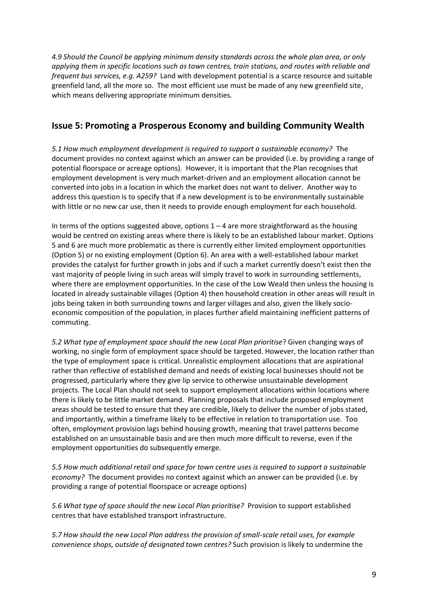*4.9 Should the Council be applying minimum density standards across the whole plan area, or only applying them in specific locations such as town centres, train stations, and routes with reliable and frequent bus services, e.g. A259?* Land with development potential is a scarce resource and suitable greenfield land, all the more so. The most efficient use must be made of any new greenfield site, which means delivering appropriate minimum densities.

### **Issue 5: Promoting a Prosperous Economy and building Community Wealth**

*5.1 How much employment development is required to support a sustainable economy?* The document provides no context against which an answer can be provided (i.e. by providing a range of potential floorspace or acreage options). However, it is important that the Plan recognises that employment development is very much market-driven and an employment allocation cannot be converted into jobs in a location in which the market does not want to deliver. Another way to address this question is to specify that if a new development is to be environmentally sustainable with little or no new car use, then it needs to provide enough employment for each household.

In terms of the options suggested above, options  $1 - 4$  are more straightforward as the housing would be centred on existing areas where there is likely to be an established labour market. Options 5 and 6 are much more problematic as there is currently either limited employment opportunities (Option 5) or no existing employment (Option 6). An area with a well-established labour market provides the catalyst for further growth in jobs and if such a market currently doesn't exist then the vast majority of people living in such areas will simply travel to work in surrounding settlements, where there are employment opportunities. In the case of the Low Weald then unless the housing is located in already sustainable villages (Option 4) then household creation in other areas will result in jobs being taken in both surrounding towns and larger villages and also, given the likely socioeconomic composition of the population, in places further afield maintaining inefficient patterns of commuting.

*5.2 What type of employment space should the new Local Plan prioritise*? Given changing ways of working, no single form of employment space should be targeted. However, the location rather than the type of employment space is critical. Unrealistic employment allocations that are aspirational rather than reflective of established demand and needs of existing local businesses should not be progressed, particularly where they give lip service to otherwise unsustainable development projects. The Local Plan should not seek to support employment allocations within locations where there is likely to be little market demand. Planning proposals that include proposed employment areas should be tested to ensure that they are credible, likely to deliver the number of jobs stated, and importantly, within a timeframe likely to be effective in relation to transportation use. Too often, employment provision lags behind housing growth, meaning that travel patterns become established on an unsustainable basis and are then much more difficult to reverse, even if the employment opportunities do subsequently emerge.

*5.5 How much additional retail and space for town centre uses is required to support a sustainable economy?* The document provides no context against which an answer can be provided (i.e. by providing a range of potential floorspace or acreage options)

*5.6 What type of space should the new Local Plan prioritise?* Provision to support established centres that have established transport infrastructure.

*5.7 How should the new Local Plan address the provision of small-scale retail uses, for example convenience shops, outside of designated town centres?* Such provision is likely to undermine the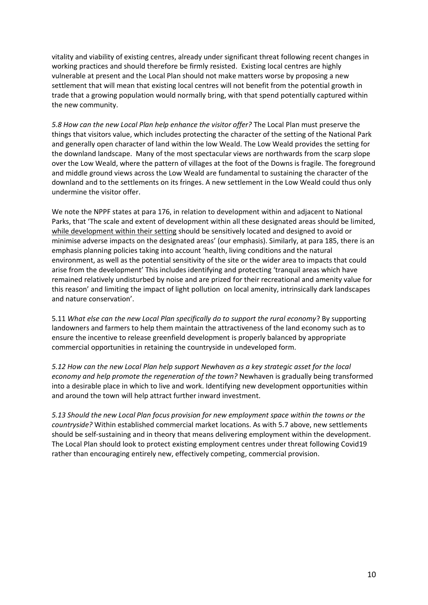vitality and viability of existing centres, already under significant threat following recent changes in working practices and should therefore be firmly resisted. Existing local centres are highly vulnerable at present and the Local Plan should not make matters worse by proposing a new settlement that will mean that existing local centres will not benefit from the potential growth in trade that a growing population would normally bring, with that spend potentially captured within the new community.

*5.8 How can the new Local Plan help enhance the visitor offer?* The Local Plan must preserve the things that visitors value, which includes protecting the character of the setting of the National Park and generally open character of land within the low Weald. The Low Weald provides the setting for the downland landscape. Many of the most spectacular views are northwards from the scarp slope over the Low Weald, where the pattern of villages at the foot of the Downs is fragile. The foreground and middle ground views across the Low Weald are fundamental to sustaining the character of the downland and to the settlements on its fringes. A new settlement in the Low Weald could thus only undermine the visitor offer.

We note the NPPF states at para 176, in relation to development within and adjacent to National Parks, that 'The scale and extent of development within all these designated areas should be limited, while development within their setting should be sensitively located and designed to avoid or minimise adverse impacts on the designated areas' (our emphasis). Similarly, at para 185, there is an emphasis planning policies taking into account 'health, living conditions and the natural environment, as well as the potential sensitivity of the site or the wider area to impacts that could arise from the development' This includes identifying and protecting 'tranquil areas which have remained relatively undisturbed by noise and are prized for their recreational and amenity value for this reason' and limiting the impact of light pollution on local amenity, intrinsically dark landscapes and nature conservation'.

5.11 *What else can the new Local Plan specifically do to support the rural economy*? By supporting landowners and farmers to help them maintain the attractiveness of the land economy such as to ensure the incentive to release greenfield development is properly balanced by appropriate commercial opportunities in retaining the countryside in undeveloped form.

*5.12 How can the new Local Plan help support Newhaven as a key strategic asset for the local economy and help promote the regeneration of the town?* Newhaven is gradually being transformed into a desirable place in which to live and work. Identifying new development opportunities within and around the town will help attract further inward investment.

*5.13 Should the new Local Plan focus provision for new employment space within the towns or the countryside?* Within established commercial market locations. As with 5.7 above, new settlements should be self-sustaining and in theory that means delivering employment within the development. The Local Plan should look to protect existing employment centres under threat following Covid19 rather than encouraging entirely new, effectively competing, commercial provision.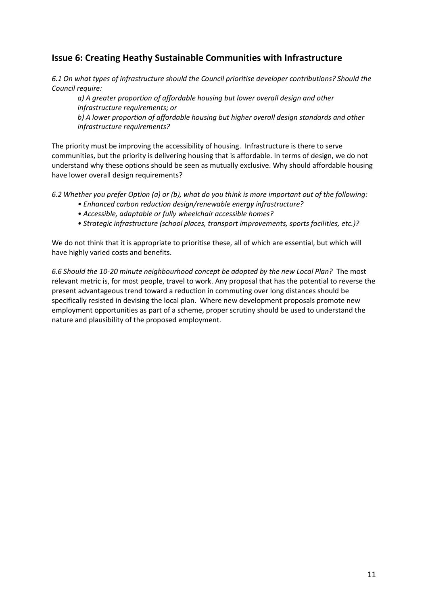### **Issue 6: Creating Heathy Sustainable Communities with Infrastructure**

*6.1 On what types of infrastructure should the Council prioritise developer contributions? Should the Council require:* 

*a) A greater proportion of affordable housing but lower overall design and other infrastructure requirements; or* 

*b) A lower proportion of affordable housing but higher overall design standards and other infrastructure requirements?* 

The priority must be improving the accessibility of housing. Infrastructure is there to serve communities, but the priority is delivering housing that is affordable. In terms of design, we do not understand why these options should be seen as mutually exclusive. Why should affordable housing have lower overall design requirements?

*6.2 Whether you prefer Option (a) or (b), what do you think is more important out of the following:* 

- *Enhanced carbon reduction design/renewable energy infrastructure?*
- *Accessible, adaptable or fully wheelchair accessible homes?*
- *Strategic infrastructure (school places, transport improvements, sports facilities, etc.)?*

We do not think that it is appropriate to prioritise these, all of which are essential, but which will have highly varied costs and benefits.

*6.6 Should the 10-20 minute neighbourhood concept be adopted by the new Local Plan?* The most relevant metric is, for most people, travel to work. Any proposal that has the potential to reverse the present advantageous trend toward a reduction in commuting over long distances should be specifically resisted in devising the local plan. Where new development proposals promote new employment opportunities as part of a scheme, proper scrutiny should be used to understand the nature and plausibility of the proposed employment*.*